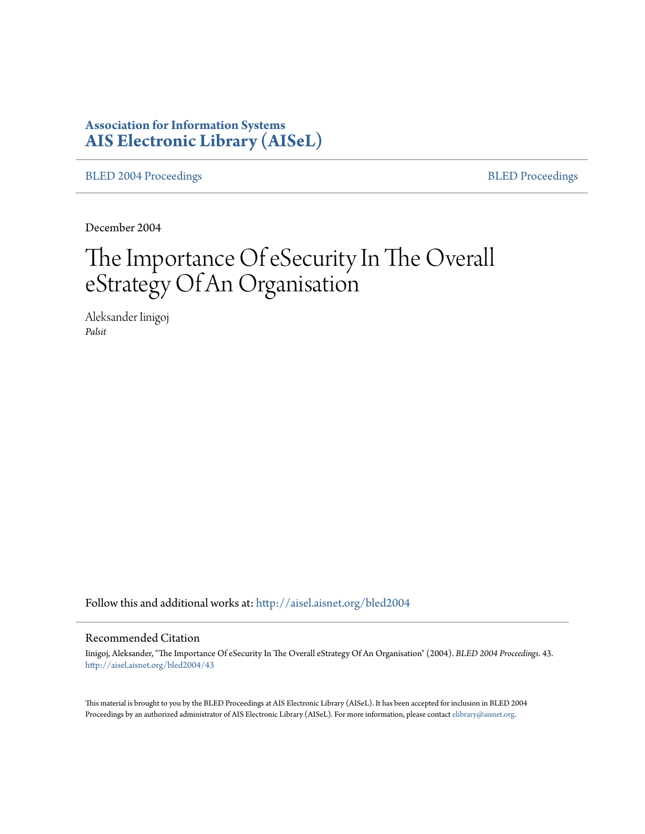# **Association for Information Systems [AIS Electronic Library \(AISeL\)](http://aisel.aisnet.org?utm_source=aisel.aisnet.org%2Fbled2004%2F43&utm_medium=PDF&utm_campaign=PDFCoverPages)**

[BLED 2004 Proceedings](http://aisel.aisnet.org/bled2004?utm_source=aisel.aisnet.org%2Fbled2004%2F43&utm_medium=PDF&utm_campaign=PDFCoverPages) **[BLED Proceedings](http://aisel.aisnet.org/bled?utm_source=aisel.aisnet.org%2Fbled2004%2F43&utm_medium=PDF&utm_campaign=PDFCoverPages)** 

December 2004

# The Importance Of eSecurity In The Overall eStrategy Of An Organisation

Aleksander Iinigoj *Palsit*

Follow this and additional works at: [http://aisel.aisnet.org/bled2004](http://aisel.aisnet.org/bled2004?utm_source=aisel.aisnet.org%2Fbled2004%2F43&utm_medium=PDF&utm_campaign=PDFCoverPages)

#### Recommended Citation

Iinigoj, Aleksander, "The Importance Of eSecurity In The Overall eStrategy Of An Organisation" (2004). *BLED 2004 Proceedings*. 43. [http://aisel.aisnet.org/bled2004/43](http://aisel.aisnet.org/bled2004/43?utm_source=aisel.aisnet.org%2Fbled2004%2F43&utm_medium=PDF&utm_campaign=PDFCoverPages)

This material is brought to you by the BLED Proceedings at AIS Electronic Library (AISeL). It has been accepted for inclusion in BLED 2004 Proceedings by an authorized administrator of AIS Electronic Library (AISeL). For more information, please contact [elibrary@aisnet.org](mailto:elibrary@aisnet.org%3E).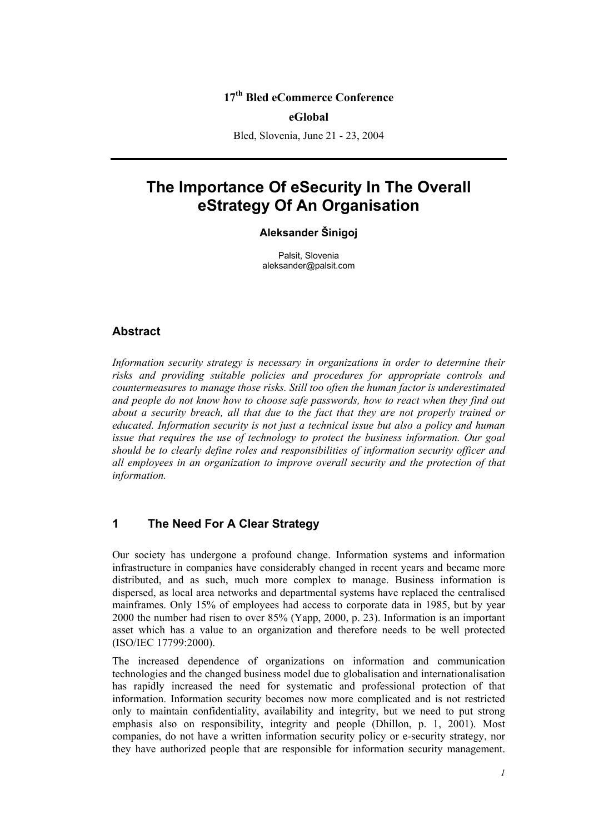### **17th Bled eCommerce Conference**

#### **eGlobal**

Bled, Slovenia, June 21 - 23, 2004

# **The Importance Of eSecurity In The Overall eStrategy Of An Organisation**

#### **Aleksander Šinigoj**

Palsit, Slovenia aleksander@palsit.com

#### **Abstract**

*Information security strategy is necessary in organizations in order to determine their risks and providing suitable policies and procedures for appropriate controls and countermeasures to manage those risks. Still too often the human factor is underestimated and people do not know how to choose safe passwords, how to react when they find out about a security breach, all that due to the fact that they are not properly trained or educated. Information security is not just a technical issue but also a policy and human issue that requires the use of technology to protect the business information. Our goal should be to clearly define roles and responsibilities of information security officer and all employees in an organization to improve overall security and the protection of that information.* 

#### **1 The Need For A Clear Strategy**

Our society has undergone a profound change. Information systems and information infrastructure in companies have considerably changed in recent years and became more distributed, and as such, much more complex to manage. Business information is dispersed, as local area networks and departmental systems have replaced the centralised mainframes. Only 15% of employees had access to corporate data in 1985, but by year 2000 the number had risen to over 85% (Yapp, 2000, p. 23). Information is an important asset which has a value to an organization and therefore needs to be well protected (ISO/IEC 17799:2000).

The increased dependence of organizations on information and communication technologies and the changed business model due to globalisation and internationalisation has rapidly increased the need for systematic and professional protection of that information. Information security becomes now more complicated and is not restricted only to maintain confidentiality, availability and integrity, but we need to put strong emphasis also on responsibility, integrity and people (Dhillon, p. 1, 2001). Most companies, do not have a written information security policy or e-security strategy, nor they have authorized people that are responsible for information security management.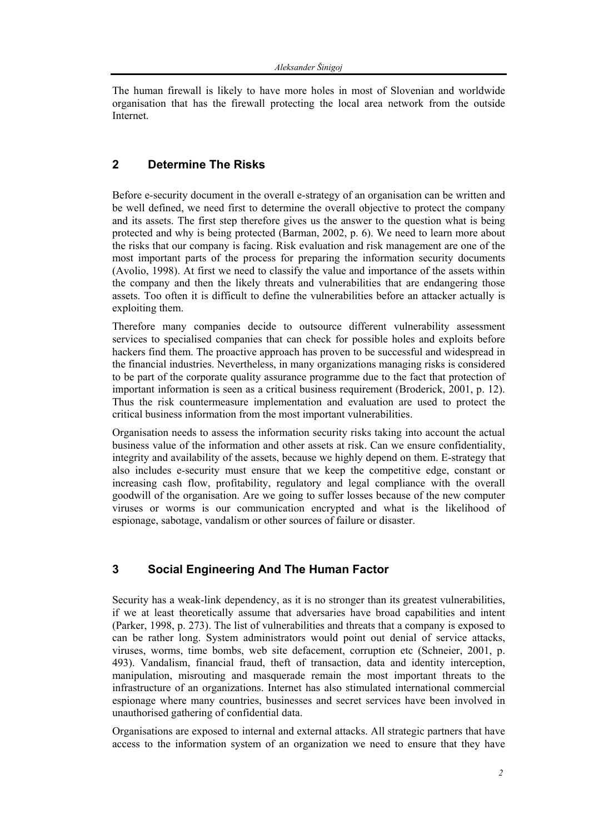The human firewall is likely to have more holes in most of Slovenian and worldwide organisation that has the firewall protecting the local area network from the outside Internet.

#### **2 Determine The Risks**

Before e-security document in the overall e-strategy of an organisation can be written and be well defined, we need first to determine the overall objective to protect the company and its assets. The first step therefore gives us the answer to the question what is being protected and why is being protected (Barman, 2002, p. 6). We need to learn more about the risks that our company is facing. Risk evaluation and risk management are one of the most important parts of the process for preparing the information security documents (Avolio, 1998). At first we need to classify the value and importance of the assets within the company and then the likely threats and vulnerabilities that are endangering those assets. Too often it is difficult to define the vulnerabilities before an attacker actually is exploiting them.

Therefore many companies decide to outsource different vulnerability assessment services to specialised companies that can check for possible holes and exploits before hackers find them. The proactive approach has proven to be successful and widespread in the financial industries. Nevertheless, in many organizations managing risks is considered to be part of the corporate quality assurance programme due to the fact that protection of important information is seen as a critical business requirement (Broderick, 2001, p. 12). Thus the risk countermeasure implementation and evaluation are used to protect the critical business information from the most important vulnerabilities.

Organisation needs to assess the information security risks taking into account the actual business value of the information and other assets at risk. Can we ensure confidentiality, integrity and availability of the assets, because we highly depend on them. E-strategy that also includes e-security must ensure that we keep the competitive edge, constant or increasing cash flow, profitability, regulatory and legal compliance with the overall goodwill of the organisation. Are we going to suffer losses because of the new computer viruses or worms is our communication encrypted and what is the likelihood of espionage, sabotage, vandalism or other sources of failure or disaster.

## **3 Social Engineering And The Human Factor**

Security has a weak-link dependency, as it is no stronger than its greatest vulnerabilities, if we at least theoretically assume that adversaries have broad capabilities and intent (Parker, 1998, p. 273). The list of vulnerabilities and threats that a company is exposed to can be rather long. System administrators would point out denial of service attacks, viruses, worms, time bombs, web site defacement, corruption etc (Schneier, 2001, p. 493). Vandalism, financial fraud, theft of transaction, data and identity interception, manipulation, misrouting and masquerade remain the most important threats to the infrastructure of an organizations. Internet has also stimulated international commercial espionage where many countries, businesses and secret services have been involved in unauthorised gathering of confidential data.

Organisations are exposed to internal and external attacks. All strategic partners that have access to the information system of an organization we need to ensure that they have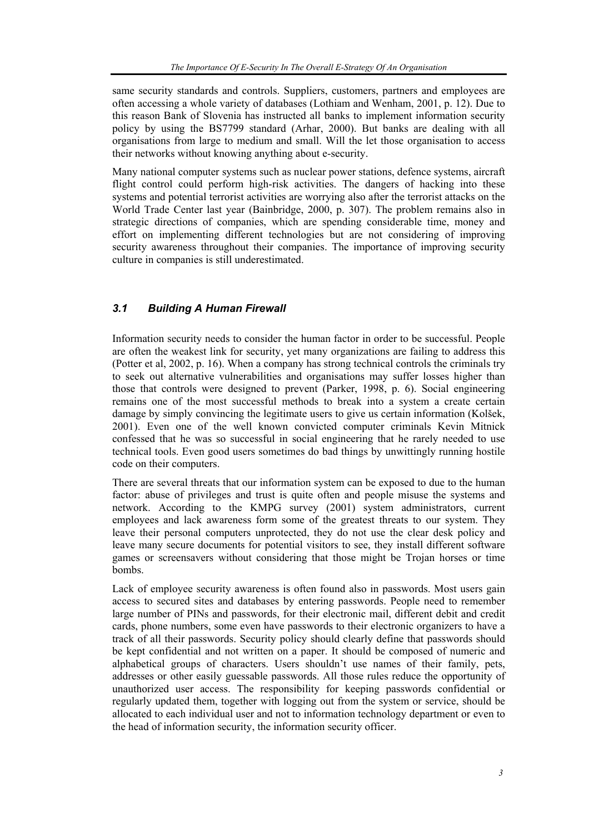same security standards and controls. Suppliers, customers, partners and employees are often accessing a whole variety of databases (Lothiam and Wenham, 2001, p. 12). Due to this reason Bank of Slovenia has instructed all banks to implement information security policy by using the BS7799 standard (Arhar, 2000). But banks are dealing with all organisations from large to medium and small. Will the let those organisation to access their networks without knowing anything about e-security.

Many national computer systems such as nuclear power stations, defence systems, aircraft flight control could perform high-risk activities. The dangers of hacking into these systems and potential terrorist activities are worrying also after the terrorist attacks on the World Trade Center last year (Bainbridge, 2000, p. 307). The problem remains also in strategic directions of companies, which are spending considerable time, money and effort on implementing different technologies but are not considering of improving security awareness throughout their companies. The importance of improving security culture in companies is still underestimated.

#### *3.1 Building A Human Firewall*

Information security needs to consider the human factor in order to be successful. People are often the weakest link for security, yet many organizations are failing to address this (Potter et al, 2002, p. 16). When a company has strong technical controls the criminals try to seek out alternative vulnerabilities and organisations may suffer losses higher than those that controls were designed to prevent (Parker, 1998, p. 6). Social engineering remains one of the most successful methods to break into a system a create certain damage by simply convincing the legitimate users to give us certain information (Kolšek, 2001). Even one of the well known convicted computer criminals Kevin Mitnick confessed that he was so successful in social engineering that he rarely needed to use technical tools. Even good users sometimes do bad things by unwittingly running hostile code on their computers.

There are several threats that our information system can be exposed to due to the human factor: abuse of privileges and trust is quite often and people misuse the systems and network. According to the KMPG survey (2001) system administrators, current employees and lack awareness form some of the greatest threats to our system. They leave their personal computers unprotected, they do not use the clear desk policy and leave many secure documents for potential visitors to see, they install different software games or screensavers without considering that those might be Trojan horses or time bombs.

Lack of employee security awareness is often found also in passwords. Most users gain access to secured sites and databases by entering passwords. People need to remember large number of PINs and passwords, for their electronic mail, different debit and credit cards, phone numbers, some even have passwords to their electronic organizers to have a track of all their passwords. Security policy should clearly define that passwords should be kept confidential and not written on a paper. It should be composed of numeric and alphabetical groups of characters. Users shouldn't use names of their family, pets, addresses or other easily guessable passwords. All those rules reduce the opportunity of unauthorized user access. The responsibility for keeping passwords confidential or regularly updated them, together with logging out from the system or service, should be allocated to each individual user and not to information technology department or even to the head of information security, the information security officer.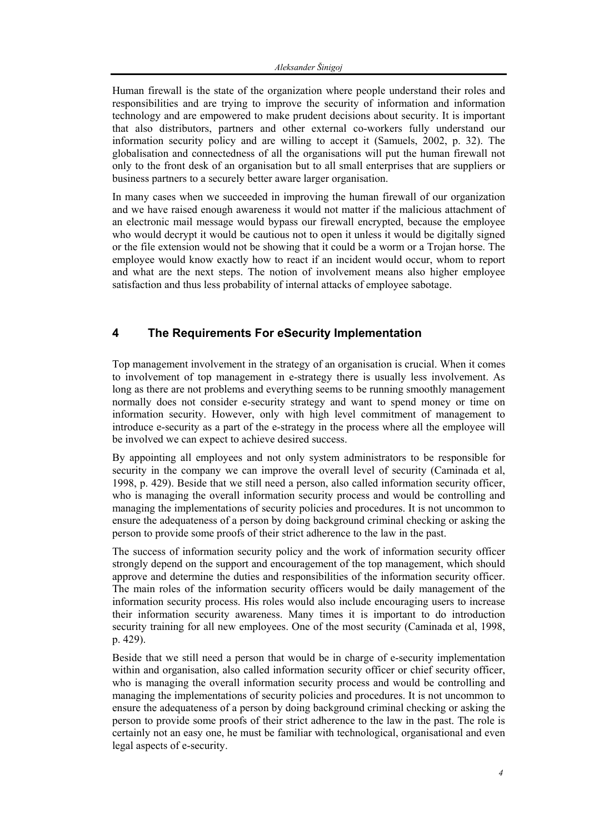Human firewall is the state of the organization where people understand their roles and responsibilities and are trying to improve the security of information and information technology and are empowered to make prudent decisions about security. It is important that also distributors, partners and other external co-workers fully understand our information security policy and are willing to accept it (Samuels, 2002, p. 32). The globalisation and connectedness of all the organisations will put the human firewall not only to the front desk of an organisation but to all small enterprises that are suppliers or business partners to a securely better aware larger organisation.

In many cases when we succeeded in improving the human firewall of our organization and we have raised enough awareness it would not matter if the malicious attachment of an electronic mail message would bypass our firewall encrypted, because the employee who would decrypt it would be cautious not to open it unless it would be digitally signed or the file extension would not be showing that it could be a worm or a Trojan horse. The employee would know exactly how to react if an incident would occur, whom to report and what are the next steps. The notion of involvement means also higher employee satisfaction and thus less probability of internal attacks of employee sabotage.

## **4 The Requirements For eSecurity Implementation**

Top management involvement in the strategy of an organisation is crucial. When it comes to involvement of top management in e-strategy there is usually less involvement. As long as there are not problems and everything seems to be running smoothly management normally does not consider e-security strategy and want to spend money or time on information security. However, only with high level commitment of management to introduce e-security as a part of the e-strategy in the process where all the employee will be involved we can expect to achieve desired success.

By appointing all employees and not only system administrators to be responsible for security in the company we can improve the overall level of security (Caminada et al, 1998, p. 429). Beside that we still need a person, also called information security officer, who is managing the overall information security process and would be controlling and managing the implementations of security policies and procedures. It is not uncommon to ensure the adequateness of a person by doing background criminal checking or asking the person to provide some proofs of their strict adherence to the law in the past.

The success of information security policy and the work of information security officer strongly depend on the support and encouragement of the top management, which should approve and determine the duties and responsibilities of the information security officer. The main roles of the information security officers would be daily management of the information security process. His roles would also include encouraging users to increase their information security awareness. Many times it is important to do introduction security training for all new employees. One of the most security (Caminada et al, 1998, p. 429).

Beside that we still need a person that would be in charge of e-security implementation within and organisation, also called information security officer or chief security officer. who is managing the overall information security process and would be controlling and managing the implementations of security policies and procedures. It is not uncommon to ensure the adequateness of a person by doing background criminal checking or asking the person to provide some proofs of their strict adherence to the law in the past. The role is certainly not an easy one, he must be familiar with technological, organisational and even legal aspects of e-security.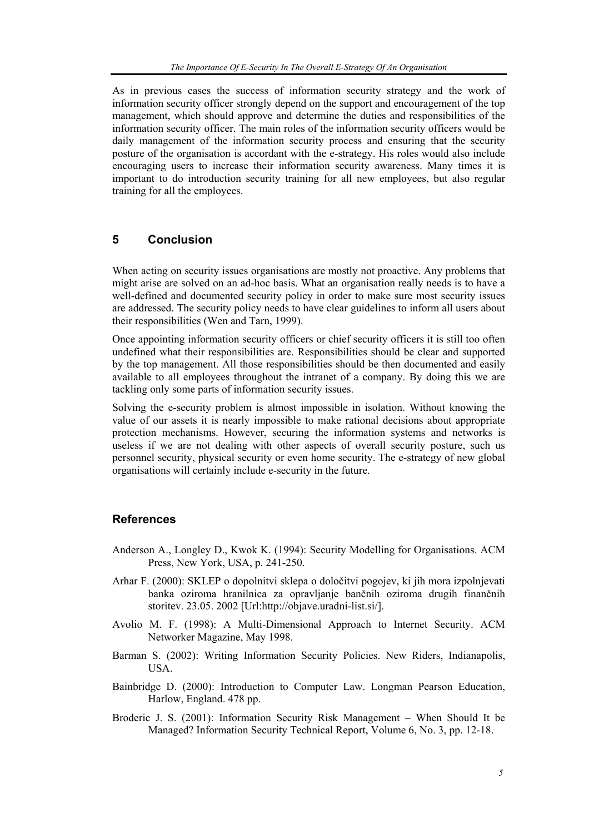As in previous cases the success of information security strategy and the work of information security officer strongly depend on the support and encouragement of the top management, which should approve and determine the duties and responsibilities of the information security officer. The main roles of the information security officers would be daily management of the information security process and ensuring that the security posture of the organisation is accordant with the e-strategy. His roles would also include encouraging users to increase their information security awareness. Many times it is important to do introduction security training for all new employees, but also regular training for all the employees.

#### **5 Conclusion**

When acting on security issues organisations are mostly not proactive. Any problems that might arise are solved on an ad-hoc basis. What an organisation really needs is to have a well-defined and documented security policy in order to make sure most security issues are addressed. The security policy needs to have clear guidelines to inform all users about their responsibilities (Wen and Tarn, 1999).

Once appointing information security officers or chief security officers it is still too often undefined what their responsibilities are. Responsibilities should be clear and supported by the top management. All those responsibilities should be then documented and easily available to all employees throughout the intranet of a company. By doing this we are tackling only some parts of information security issues.

Solving the e-security problem is almost impossible in isolation. Without knowing the value of our assets it is nearly impossible to make rational decisions about appropriate protection mechanisms. However, securing the information systems and networks is useless if we are not dealing with other aspects of overall security posture, such us personnel security, physical security or even home security. The e-strategy of new global organisations will certainly include e-security in the future.

#### **References**

- Anderson A., Longley D., Kwok K. (1994): Security Modelling for Organisations. ACM Press, New York, USA, p. 241-250.
- Arhar F. (2000): SKLEP o dopolnitvi sklepa o določitvi pogojev, ki jih mora izpolnjevati banka oziroma hranilnica za opravljanje bančnih oziroma drugih finančnih storitev. 23.05. 2002 [Url:http://objave.uradni-list.si/].
- Avolio M. F. (1998): A Multi-Dimensional Approach to Internet Security. ACM Networker Magazine, May 1998.
- Barman S. (2002): Writing Information Security Policies. New Riders, Indianapolis, USA.
- Bainbridge D. (2000): Introduction to Computer Law. Longman Pearson Education, Harlow, England. 478 pp.
- Broderic J. S. (2001): Information Security Risk Management When Should It be Managed? Information Security Technical Report, Volume 6, No. 3, pp. 12-18.